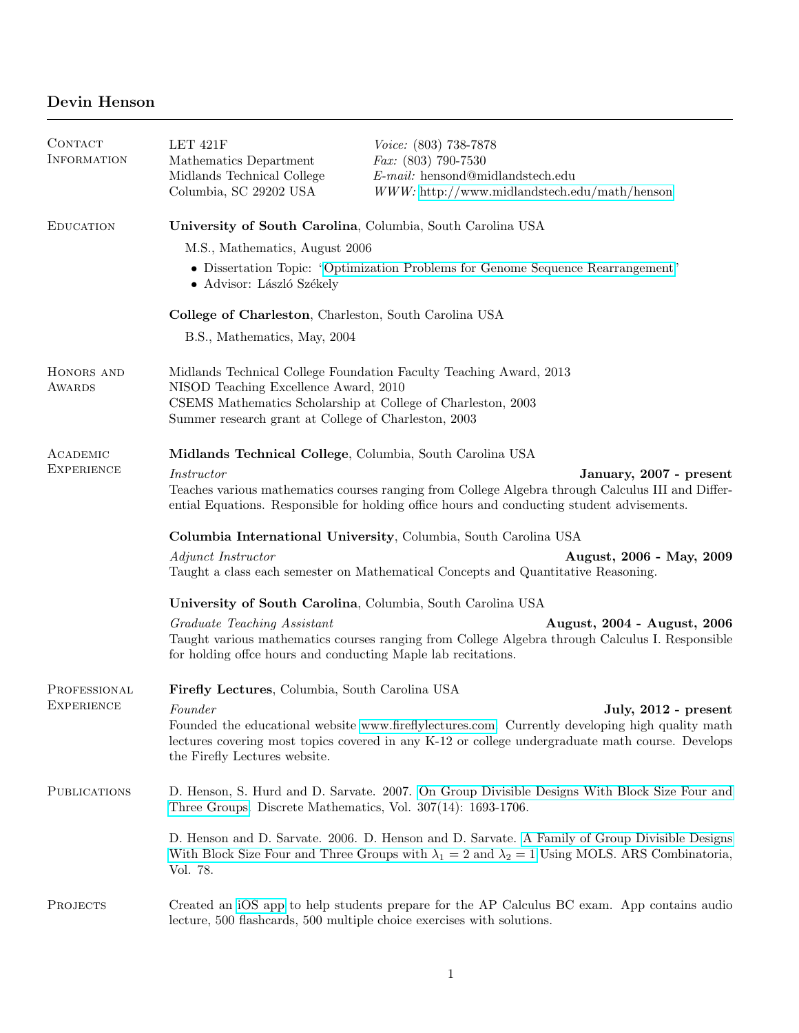## Devin Henson

| CONTACT<br><b>INFORMATION</b> | LET 421F<br>Mathematics Department<br>Midlands Technical College<br>Columbia, SC 29202 $\mathbf{USA}$                                                                                                                                           | Voice: (803) 738-7878<br>$Fax: (803)$ 790-7530<br>$E-mail:$ hensond@midlandstech.edu<br>$WWW$ : http://www.midlandstech.edu/math/henson                                                                                     |  |
|-------------------------------|-------------------------------------------------------------------------------------------------------------------------------------------------------------------------------------------------------------------------------------------------|-----------------------------------------------------------------------------------------------------------------------------------------------------------------------------------------------------------------------------|--|
| <b>EDUCATION</b>              | University of South Carolina, Columbia, South Carolina USA                                                                                                                                                                                      |                                                                                                                                                                                                                             |  |
|                               | M.S., Mathematics, August 2006                                                                                                                                                                                                                  |                                                                                                                                                                                                                             |  |
|                               | • Dissertation Topic: "Optimization Problems for Genome Sequence Rearrangement"<br>· Advisor: László Székely                                                                                                                                    |                                                                                                                                                                                                                             |  |
|                               | College of Charleston, Charleston, South Carolina USA                                                                                                                                                                                           |                                                                                                                                                                                                                             |  |
|                               | B.S., Mathematics, May, 2004                                                                                                                                                                                                                    |                                                                                                                                                                                                                             |  |
| HONORS AND<br><b>AWARDS</b>   | Midlands Technical College Foundation Faculty Teaching Award, 2013<br>NISOD Teaching Excellence Award, 2010<br>CSEMS Mathematics Scholarship at College of Charleston, 2003<br>Summer research grant at College of Charleston, 2003             |                                                                                                                                                                                                                             |  |
| ACADEMIC                      | Midlands Technical College, Columbia, South Carolina USA                                                                                                                                                                                        |                                                                                                                                                                                                                             |  |
| <b>EXPERIENCE</b>             | <i>Instructor</i><br>January, 2007 - present<br>Teaches various mathematics courses ranging from College Algebra through Calculus III and Differ-<br>ential Equations. Responsible for holding office hours and conducting student advisements. |                                                                                                                                                                                                                             |  |
|                               | Columbia International University, Columbia, South Carolina USA                                                                                                                                                                                 |                                                                                                                                                                                                                             |  |
|                               | Adjunct Instructor                                                                                                                                                                                                                              | August, 2006 - May, 2009<br>Taught a class each semester on Mathematical Concepts and Quantitative Reasoning.                                                                                                               |  |
|                               | University of South Carolina, Columbia, South Carolina USA                                                                                                                                                                                      |                                                                                                                                                                                                                             |  |
|                               | Graduate Teaching Assistant<br>for holding offee hours and conducting Maple lab recitations.                                                                                                                                                    | August, 2004 - August, 2006<br>Taught various mathematics courses ranging from College Algebra through Calculus I. Responsible                                                                                              |  |
| PROFESSIONAL                  | Firefly Lectures, Columbia, South Carolina USA                                                                                                                                                                                                  |                                                                                                                                                                                                                             |  |
| <b>EXPERIENCE</b>             | Founder<br>the Firefly Lectures website.                                                                                                                                                                                                        | July, 2012 - present<br>Founded the educational website www.fireflylectures.com. Currently developing high quality math<br>lectures covering most topics covered in any K-12 or college undergraduate math course. Develops |  |
| <b>PUBLICATIONS</b>           | D. Henson, S. Hurd and D. Sarvate. 2007. On Group Divisible Designs With Block Size Four and<br>Three Groups. Discrete Mathematics, Vol. 307(14): 1693-1706.                                                                                    |                                                                                                                                                                                                                             |  |
|                               | D. Henson and D. Sarvate. 2006. D. Henson and D. Sarvate. A Family of Group Divisible Designs<br>With Block Size Four and Three Groups with $\lambda_1 = 2$ and $\lambda_2 = 1$ Using MOLS. ARS Combinatoria,<br>Vol. 78.                       |                                                                                                                                                                                                                             |  |
| PROJECTS                      |                                                                                                                                                                                                                                                 | Created an iOS app to help students prepare for the AP Calculus BC exam. App contains audio<br>lecture, 500 flashcards, 500 multiple choice exercises with solutions.                                                       |  |